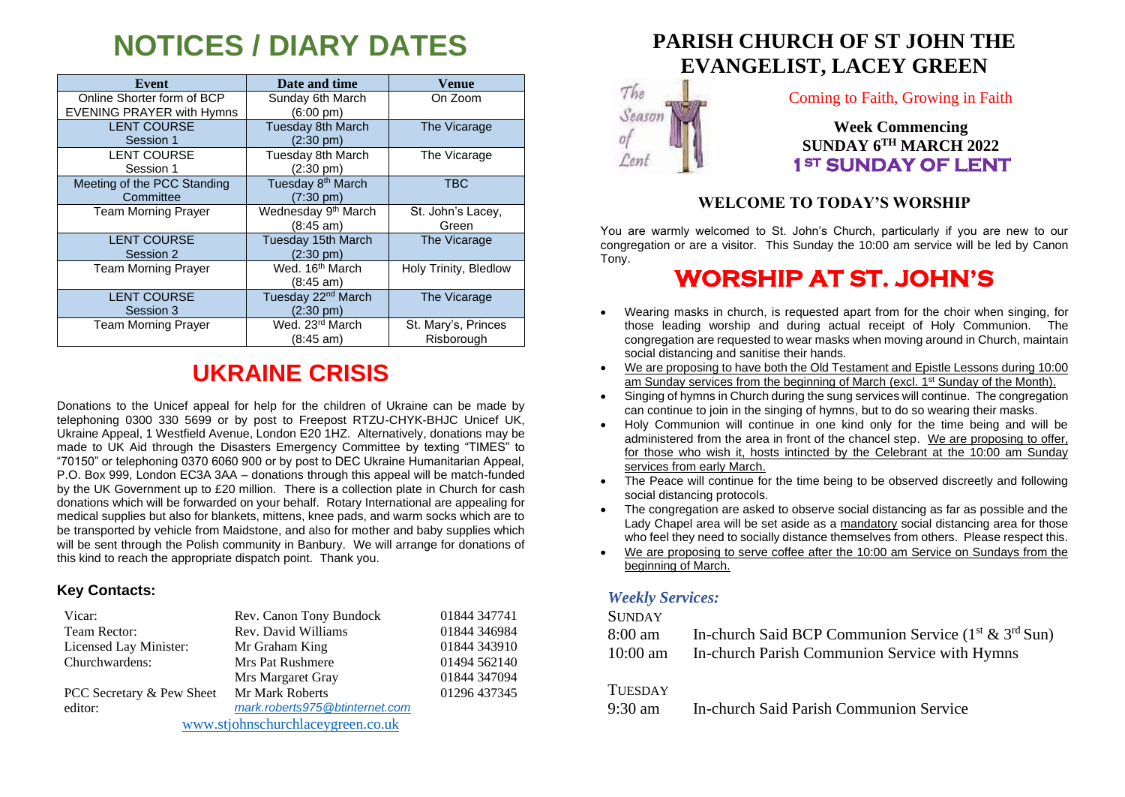# **NOTICES / DIARY DATES**

| Event                                                          | Date and time                                          | Venue                             |
|----------------------------------------------------------------|--------------------------------------------------------|-----------------------------------|
| Online Shorter form of BCP<br><b>EVENING PRAYER with Hymns</b> | Sunday 6th March<br>$(6:00 \text{ pm})$                | On Zoom                           |
| <b>LENT COURSE</b><br>Session 1                                | <b>Tuesday 8th March</b><br>$(2:30 \text{ pm})$        | The Vicarage                      |
| <b>LENT COURSE</b><br>Session 1                                | Tuesday 8th March<br>(2:30 pm)                         | The Vicarage                      |
| Meeting of the PCC Standing<br>Committee                       | Tuesday 8 <sup>th</sup> March<br>$(7:30 \text{ pm})$   | <b>TBC</b>                        |
| <b>Team Morning Prayer</b>                                     | Wednesday 9 <sup>th</sup> March<br>$(8:45 \text{ am})$ | St. John's Lacey,<br>Green        |
| <b>LENT COURSE</b><br>Session 2                                | Tuesday 15th March<br>$(2:30 \text{ pm})$              | The Vicarage                      |
| <b>Team Morning Prayer</b>                                     | Wed. 16 <sup>th</sup> March<br>(8:45 am)               | Holy Trinity, Bledlow             |
| <b>LENT COURSE</b><br>Session 3                                | Tuesday 22 <sup>nd</sup> March<br>$(2:30 \text{ pm})$  | The Vicarage                      |
| <b>Team Morning Prayer</b>                                     | Wed. 23rd March<br>(8:45 am)                           | St. Mary's, Princes<br>Risborough |

## **UKRAINE CRISIS**

Donations to the Unicef appeal for help for the children of Ukraine can be made by telephoning 0300 330 5699 or by post to Freepost RTZU-CHYK-BHJC Unicef UK, Ukraine Appeal, 1 Westfield Avenue, London E20 1HZ. Alternatively, donations may be made to UK Aid through the Disasters Emergency Committee by texting "TIMES" to "70150" or telephoning 0370 6060 900 or by post to DEC Ukraine Humanitarian Appeal, P.O. Box 999, London EC3A 3AA – donations through this appeal will be match-funded by the UK Government up to £20 million. There is a collection plate in Church for cash donations which will be forwarded on your behalf. Rotary International are appealing for medical supplies but also for blankets, mittens, knee pads, and warm socks which are to be transported by vehicle from Maidstone, and also for mother and baby supplies which will be sent through the Polish community in Banbury. We will arrange for donations of this kind to reach the appropriate dispatch point. Thank you.

#### **Key Contacts:**

| Vicar:                    | Rev. Canon Tony Bundock        | 01844 347741 |
|---------------------------|--------------------------------|--------------|
| Team Rector:              | Rev. David Williams            | 01844 346984 |
| Licensed Lay Minister:    | Mr Graham King                 | 01844 343910 |
| Churchwardens:            | <b>Mrs Pat Rushmere</b>        | 01494 562140 |
|                           | Mrs Margaret Gray              | 01844 347094 |
| PCC Secretary & Pew Sheet | Mr Mark Roberts                | 01296 437345 |
| editor:                   | mark.roberts975@btinternet.com |              |
|                           |                                |              |

[www.stjohnschurchlaceygreen.co.uk](http://www.stjohnschurchlaceygreen.co.uk/)

## **PARISH CHURCH OF ST JOHN THE EVANGELIST, LACEY GREEN**



Coming to Faith, Growing in Faith

**Week Commencing SUNDAY 6 TH MARCH 2022 1ST SUNDAY OF LENT** 

### **WELCOME TO TODAY'S WORSHIP**

You are warmly welcomed to St. John's Church, particularly if you are new to our congregation or are a visitor. This Sunday the 10:00 am service will be led by Canon Tony.

## **WORSHIP AT ST. JOHN'S**

- Wearing masks in church, is requested apart from for the choir when singing, for those leading worship and during actual receipt of Holy Communion. The congregation are requested to wear masks when moving around in Church, maintain social distancing and sanitise their hands.
- We are proposing to have both the Old Testament and Epistle Lessons during 10:00 am Sunday services from the beginning of March (excl. 1<sup>st</sup> Sunday of the Month).
- Singing of hymns in Church during the sung services will continue. The congregation can continue to join in the singing of hymns, but to do so wearing their masks.
- Holy Communion will continue in one kind only for the time being and will be administered from the area in front of the chancel step. We are proposing to offer, for those who wish it, hosts intincted by the Celebrant at the 10:00 am Sunday services from early March.
- The Peace will continue for the time being to be observed discreetly and following social distancing protocols.
- The congregation are asked to observe social distancing as far as possible and the Lady Chapel area will be set aside as a mandatory social distancing area for those who feel they need to socially distance themselves from others. Please respect this.
- We are proposing to serve coffee after the 10:00 am Service on Sundays from the beginning of March.

### *Weekly Services:*

#### **SUNDAY**

| 8:00 am    | In-church Said BCP Communion Service $(1^{st} \& 3^{rd} Sun)$ |
|------------|---------------------------------------------------------------|
| $10:00$ am | In-church Parish Communion Service with Hymns                 |

#### **TUESDAY**

9:30 am In-church Said Parish Communion Service